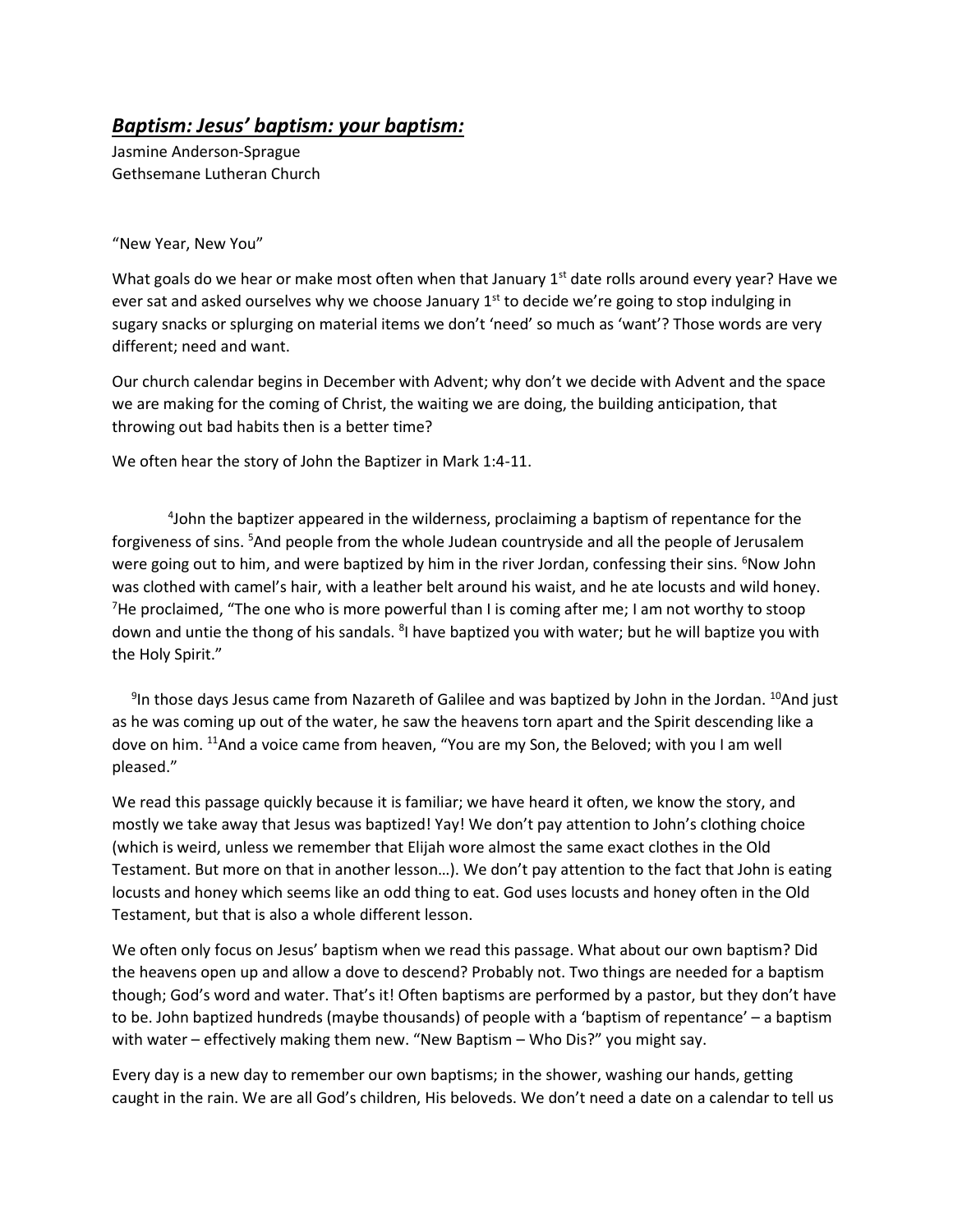## *Baptism: Jesus' baptism: your baptism:*

Jasmine Anderson-Sprague Gethsemane Lutheran Church

"New Year, New You"

What goals do we hear or make most often when that January  $1<sup>st</sup>$  date rolls around every year? Have we ever sat and asked ourselves why we choose January  $1<sup>st</sup>$  to decide we're going to stop indulging in sugary snacks or splurging on material items we don't 'need' so much as 'want'? Those words are very different; need and want.

Our church calendar begins in December with Advent; why don't we decide with Advent and the space we are making for the coming of Christ, the waiting we are doing, the building anticipation, that throwing out bad habits then is a better time?

We often hear the story of John the Baptizer in Mark 1:4-11.

4 John the baptizer appeared in the wilderness, proclaiming a baptism of repentance for the forgiveness of sins. <sup>5</sup>And people from the whole Judean countryside and all the people of Jerusalem were going out to him, and were baptized by him in the river Jordan, confessing their sins. <sup>6</sup>Now John was clothed with camel's hair, with a leather belt around his waist, and he ate locusts and wild honey. <sup>7</sup>He proclaimed, "The one who is more powerful than I is coming after me; I am not worthy to stoop down and untie the thong of his sandals. <sup>8</sup>I have baptized you with water; but he will baptize you with the Holy Spirit."

 $9$ In those days Jesus came from Nazareth of Galilee and was baptized by John in the Jordan.  $^{10}$ And just as he was coming up out of the water, he saw the heavens torn apart and the Spirit descending like a dove on him. <sup>11</sup>And a voice came from heaven, "You are my Son, the Beloved; with you I am well pleased."

We read this passage quickly because it is familiar; we have heard it often, we know the story, and mostly we take away that Jesus was baptized! Yay! We don't pay attention to John's clothing choice (which is weird, unless we remember that Elijah wore almost the same exact clothes in the Old Testament. But more on that in another lesson…). We don't pay attention to the fact that John is eating locusts and honey which seems like an odd thing to eat. God uses locusts and honey often in the Old Testament, but that is also a whole different lesson.

We often only focus on Jesus' baptism when we read this passage. What about our own baptism? Did the heavens open up and allow a dove to descend? Probably not. Two things are needed for a baptism though; God's word and water. That's it! Often baptisms are performed by a pastor, but they don't have to be. John baptized hundreds (maybe thousands) of people with a 'baptism of repentance' – a baptism with water – effectively making them new. "New Baptism – Who Dis?" you might say.

Every day is a new day to remember our own baptisms; in the shower, washing our hands, getting caught in the rain. We are all God's children, His beloveds. We don't need a date on a calendar to tell us